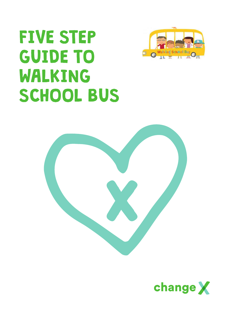## FIVE STEP GUIDE TO WALKING SCHOOL BUS





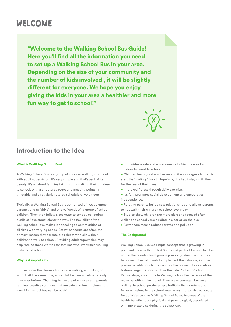## WELCOME

"Welcome to the Walking School Bus Guide! Here you'll find all the information you need to set up a Walking School Bus in your area. Depending on the size of your community and the number of kids involved , it will be slightly different for everyone. We hope you enjoy giving the kids in your area a healthier and more fun way to get to school!"

## Introduction to the Idea

#### What is Waliking School Bus?

A Walking School Bus is a group of children walking to school with adult supervision. It's very simple and that's part of its beauty. It's all about families taking turns walking their children to school, with a structured route and meeting points, a timetable and a regularly rotated schedule of volunteers.

Typically, a Walking School Bus is comprised of two volunteer parents, one to "drive" and one to "conduct" a group of school children. They then follow a set route to school, collecting pupils at "bus stops" along the way. The flexibility of the walking school bus makes it appealing to communities of all sizes with varying needs. Safety concerns are often the primary reason that parents are reluctant to allow their children to walk to school. Providing adult supervision may help reduce those worries for families who live within walking distance of school.

#### Why is it important?

Studies show that fewer children are walking and biking to school. At the same time, more children are at risk of obesity than ever before. Changing behaviors of children and parents requires creative solutions that are safe and fun. Implementing a walking school bus can be both!

- It provides a safe and environmentally friendly way for children to travel to school.
- Children learn good road sense and it encourages children to start the "walking" habit. Hopefully, this habit stays with them for the rest of their lives!
- Improved fitness through daily exercise.
- It's fun, promotes social development and encourages independence.
- Rotating parents builds new relationships and allows parents to not walk their children to school every day.
- Studies show children are more alert and focused after walking to school versus riding in a car or on the bus.
- Fewer cars means reduced traffic and pollution.

#### **The Background**

Walking School Bus is a simple concept that is growing in popularity across the United States and parts of Europe. In cities across the country, local groups provide guidance and support to communities who wish to implement the initiative, as it has proven benefits for children and for the community as a whole. National organizations, such as the Safe Routes to School Partnerships, also promote Walking School Bus because of the many benefits of the model. They are encouraged because walking to school produces less traffic in the mornings and fewer emissions in the school area. Many groups also advocate for activities such as Walking School Buses because of the health benefits, both physical and psychological, associated with more exercise during the school day.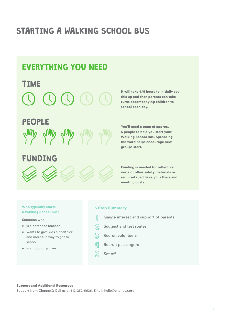## STARTING A WALKING SCHOOL BUS

## EVERYTHING YOU NEED

# TIME



## FUNDING



It will take 4/5 hours to initially set this up and then parents can take turns accompanying children to school each day.

You'll need a team of approx. 5 people to help you start your Walking School Bus. Spreading the word helps encourage new groups start.

Funding is needed for reflective vests or other safety materials or required road fixes, plus fliers and meeting costs.

#### Who typically starts a Walking School Bus?

Someone who:

- is a parent or teacher.
- wants to give kids a healthier and more fun way to get to school.
- is a good organizer.

#### 5 Step Summary

- $\begin{array}{c} \hline \end{array}$ Gauge interest and support of parents
- $\varnothing$  Suggest and test routes
- Recruit volunteers
- $\sqrt[12]{ }$  Recruit passengers
- $\mathbb{S}$ Set off

#### Support and Additional Resources

Support from ChangeX: Call us at 612-232-6626. Email: hello@changex.org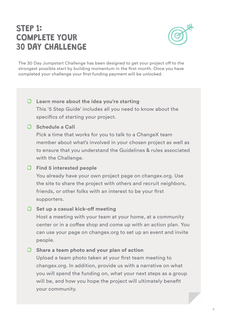## STEP 1: COMPLETE YOUR 30 DAY CHALLENGE



The 30 Day Jumpstart Challenge has been designed to get your project off to the strongest possible start by building momentum in the first month. Once you have completed your challenge your first funding payment will be unlocked.

### **Learn more about the idea you're starting**

This '5 Step Guide' includes all you need to know about the specifics of starting your project.

#### **Schedule a Call**

Pick a time that works for you to talk to a ChangeX team member about what's involved in your chosen project as well as to ensure that you understand the Guidelines & rules associated with the Challenge.

#### **Find 5 interested people**

You already have your own project page on changex.org. Use the site to share the project with others and recruit neighbors, friends, or other folks with an interest to be your first supporters.

#### **C** Set up a casual kick-off meeting

Host a meeting with your team at your home, at a community center or in a coffee shop and come up with an action plan. You can use your page on changex.org to set up an event and invite people.

#### **Share a team photo and your plan of action**

Upload a team photo taken at your first team meeting to changex.org. In addition, provide us with a narrative on what you will spend the funding on, what your next steps as a group will be, and how you hope the project will ultimately benefit your community.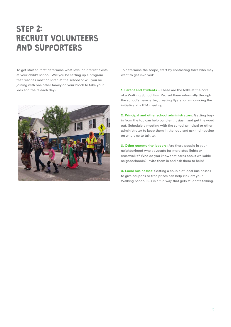## STEP 2: RECRUIT VOLUNTEERS AND SUPPORTERS

To get started, first determine what level of interest exists at your child's school. Will you be setting up a program that reaches most children at the school or will you be joining with one other family on your block to take your kids and theirs each day?



To determine the scope, start by contacting folks who may want to get involved:

**1. Parent and students** – These are the folks at the core of a Walking School Bus. Recruit them informally through the school's newsletter, creating flyers, or announcing the initiative at a PTA meeting.

**2. Principal and other school administrators:** Getting buyin from the top can help build enthusiasm and get the word out. Schedule a meeting with the school principal or other administrator to keep them in the loop and ask their advice on who else to talk to.

**3. Other community leaders:** Are there people in your neighborhood who advocate for more stop lights or crosswalks? Who do you know that cares about walkable neighborhoods? Invite them in and ask them to help!

**4. Local businesses**: Getting a couple of local businesses to give coupons or free prizes can help kick-off your Walking School Bus in a fun way that gets students talking.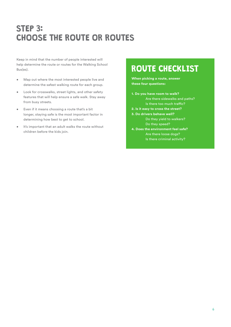## STEP 3: CHOOSE THE ROUTE OR ROUTES

Keep in mind that the number of people interested will help determine the route or routes for the Walking School Bus(es).

- Map out where the most interested people live and determine the safest walking route for each group.
- Look for crosswalks, street lights, and other safety features that will help ensure a safe walk. Stay away from busy streets.
- Even if it means choosing a route that's a bit longer, staying safe is the most important factor in determining how best to get to school.
- It's important that an adult walks the route without children before the kids join.

## ROUTE CHECKLIST

**When picking a route, answer these four questions:**

- **1. Do you have room to walk?** Are there sidewalks and paths? Is there too much traffic?
- **2. Is it easy to cross the street?**

**3. Do drivers behave well?** Do they yield to walkers? Do they speed?

**4. Does the environment feel safe?** Are there loose dogs? Is there criminal activity?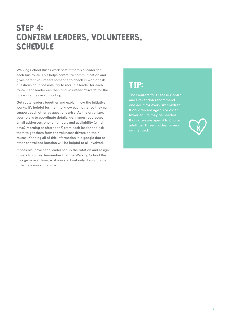## STEP 4: CONFIRM LEADERS, VOLUNTEERS, **SCHEDULE**

Walking School Buses work best if there's a leader for each bus route. This helps centralize communication and gives parent volunteers someone to check in with or ask questions of. If possible, try to recruit a leader for each route. Each leader can then find volunteer "drivers" for the bus route they're supporting.

Get route leaders together and explain how the initiative works. It's helpful for them to know each other so they can support each other as questions arise. As the organizer, your role is to coordinate details: get names, addresses, email addresses, phone numbers and availability (which days? Morning or afternoon?) from each leader and ask them to get them from the volunteer drivers on their routes. Keeping all of this information in a google doc or other centralized location will be helpful to all involved.

If possible, have each leader set up the rotation and assign drivers to routes. Remember that the Walking School Bus may grow over time, so if you start out only doing it once or twice a week, that's ok!

## TIP:

The Centers for Disease Control one adult for every six children. If children are age 10 or older, If children are ages 4 to 6, one ommended.